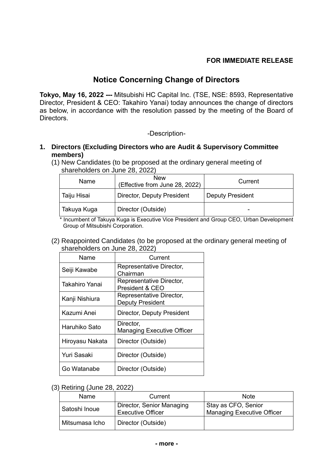## **FOR IMMEDIATE RELEASE**

# **Notice Concerning Change of Directors**

**Tokyo, May 16, 2022 ---** Mitsubishi HC Capital Inc. (TSE, NSE: 8593, Representative Director, President & CEO: Takahiro Yanai) today announces the change of directors as below, in accordance with the resolution passed by the meeting of the Board of Directors.

#### -Description-

#### **1. Directors (Excluding Directors who are Audit & Supervisory Committee members)**

(1) New Candidates (to be proposed at the ordinary general meeting of shareholders on June 28, 2022)

| Name        | <b>New</b><br>(Effective from June 28, 2022) | Current                 |
|-------------|----------------------------------------------|-------------------------|
| Taiju Hisai | <b>Director, Deputy President</b>            | <b>Deputy President</b> |
| Takuya Kuga | Director (Outside)                           | -                       |

 \* Incumbent of Takuya Kuga is Executive Vice President and Group CEO, Urban Development Group of Mitsubishi Corporation.

(2) Reappointed Candidates (to be proposed at the ordinary general meeting of shareholders on June 28, 2022)

| Name            | Current                                             |
|-----------------|-----------------------------------------------------|
| Seiji Kawabe    | Representative Director,<br>Chairman                |
| Takahiro Yanai  | Representative Director,<br>President & CEO         |
| Kanji Nishiura  | Representative Director,<br><b>Deputy President</b> |
| Kazumi Anei     | Director, Deputy President                          |
| Haruhiko Sato   | Director,<br><b>Managing Executive Officer</b>      |
| Hiroyasu Nakata | Director (Outside)                                  |
| Yuri Sasaki     | Director (Outside)                                  |
| Go Watanabe     | Director (Outside)                                  |

#### (3) Retiring (June 28, 2022)

| Name           | Current                                               | <b>Note</b>                                              |
|----------------|-------------------------------------------------------|----------------------------------------------------------|
| Satoshi Inoue  | Director, Senior Managing<br><b>Executive Officer</b> | Stay as CFO, Senior<br><b>Managing Executive Officer</b> |
| Mitsumasa Icho | Director (Outside)                                    |                                                          |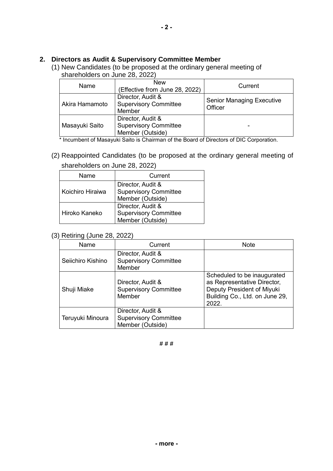### **2. Directors as Audit & Supervisory Committee Member**

(1) New Candidates (to be proposed at the ordinary general meeting of shareholders on June 28, 2022)

| Name           | <b>New</b><br>(Effective from June 28, 2022)                          | Current                                     |
|----------------|-----------------------------------------------------------------------|---------------------------------------------|
| Akira Hamamoto | Director, Audit &<br><b>Supervisory Committee</b><br>Member           | <b>Senior Managing Executive</b><br>Officer |
| Masayuki Saito | Director, Audit &<br><b>Supervisory Committee</b><br>Member (Outside) |                                             |

\* Incumbent of Masayuki Saito is Chairman of the Board of Directors of DIC Corporation.

(2) Reappointed Candidates (to be proposed at the ordinary general meeting of shareholders on June 28, 2022)

| Name             | Current                                                               |  |
|------------------|-----------------------------------------------------------------------|--|
| Koichiro Hiraiwa | Director, Audit &<br><b>Supervisory Committee</b><br>Member (Outside) |  |
| Hiroko Kaneko    | Director, Audit &<br><b>Supervisory Committee</b><br>Member (Outside) |  |

(3) Retiring (June 28, 2022)

| Name              | Current                                                               | <b>Note</b>                                                                                                                         |
|-------------------|-----------------------------------------------------------------------|-------------------------------------------------------------------------------------------------------------------------------------|
| Seiichiro Kishino | Director, Audit &<br><b>Supervisory Committee</b><br>Member           |                                                                                                                                     |
| Shuji Miake       | Director, Audit &<br><b>Supervisory Committee</b><br>Member           | Scheduled to be inaugurated<br>as Representative Director,<br>Deputy President of Miyuki<br>Building Co., Ltd. on June 29,<br>2022. |
| Teruyuki Minoura  | Director, Audit &<br><b>Supervisory Committee</b><br>Member (Outside) |                                                                                                                                     |

**- 2 -**

**# # #**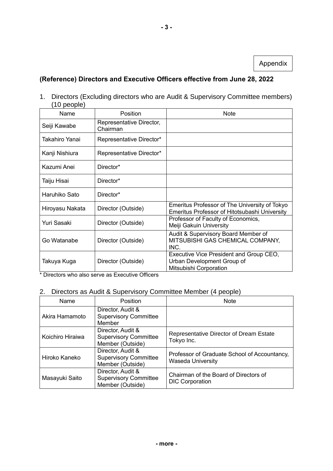Appendix

## **(Reference) Directors and Executive Officers effective from June 28, 2022**

1. Directors (Excluding directors who are Audit & Supervisory Committee members) (10 people)

| Name            | <b>Position</b>                      | Note                                                                                            |
|-----------------|--------------------------------------|-------------------------------------------------------------------------------------------------|
| Seiji Kawabe    | Representative Director,<br>Chairman |                                                                                                 |
| Takahiro Yanai  | Representative Director*             |                                                                                                 |
| Kanji Nishiura  | Representative Director*             |                                                                                                 |
| Kazumi Anei     | Director*                            |                                                                                                 |
| Taiju Hisai     | Director*                            |                                                                                                 |
| Haruhiko Sato   | Director*                            |                                                                                                 |
| Hiroyasu Nakata | Director (Outside)                   | Emeritus Professor of The University of Tokyo<br>Emeritus Professor of Hitotsubashi University  |
| Yuri Sasaki     | Director (Outside)                   | Professor of Faculty of Economics,<br>Meiji Gakuin University                                   |
| Go Watanabe     | Director (Outside)                   | Audit & Supervisory Board Member of<br>MITSUBISHI GAS CHEMICAL COMPANY,<br>INC.                 |
| Takuya Kuga     | Director (Outside)                   | Executive Vice President and Group CEO,<br>Urban Development Group of<br>Mitsubishi Corporation |

\* Directors who also serve as Executive Officers

## 2. Directors as Audit & Supervisory Committee Member (4 people)

| Name             | Position                                                              | <b>Note</b>                                                       |
|------------------|-----------------------------------------------------------------------|-------------------------------------------------------------------|
| Akira Hamamoto   | Director, Audit &<br><b>Supervisory Committee</b><br>Member           |                                                                   |
| Koichiro Hiraiwa | Director, Audit &<br><b>Supervisory Committee</b><br>Member (Outside) | Representative Director of Dream Estate<br>Tokyo Inc.             |
| Hiroko Kaneko    | Director, Audit &<br><b>Supervisory Committee</b><br>Member (Outside) | Professor of Graduate School of Accountancy,<br>Waseda University |
| Masayuki Saito   | Director, Audit &<br><b>Supervisory Committee</b><br>Member (Outside) | Chairman of the Board of Directors of<br><b>DIC Corporation</b>   |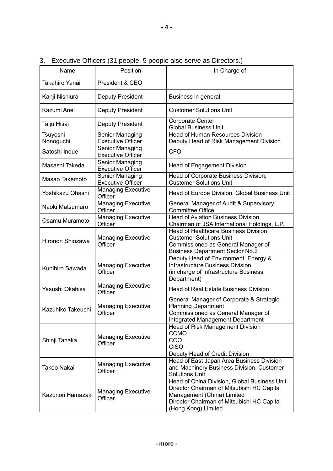| Name                  | Position                                    | In Charge of                                                                                                                                                                                  |
|-----------------------|---------------------------------------------|-----------------------------------------------------------------------------------------------------------------------------------------------------------------------------------------------|
| Takahiro Yanai        | President & CEO                             |                                                                                                                                                                                               |
| Kanji Nishiura        | <b>Deputy President</b>                     | Business in general                                                                                                                                                                           |
| Kazumi Anei           | <b>Deputy President</b>                     | <b>Customer Solutions Unit</b>                                                                                                                                                                |
| Taiju Hisai           | Deputy President                            | <b>Corporate Center</b><br><b>Global Business Unit</b>                                                                                                                                        |
| Tsuyoshi<br>Nonoguchi | Senior Managing<br><b>Executive Officer</b> | <b>Head of Human Resources Division</b><br>Deputy Head of Risk Management Division                                                                                                            |
| Satoshi Inoue         | Senior Managing<br><b>Executive Officer</b> | <b>CFO</b>                                                                                                                                                                                    |
| Masashi Takeda        | Senior Managing<br><b>Executive Officer</b> | <b>Head of Engagement Division</b>                                                                                                                                                            |
| Masao Takemoto        | Senior Managing<br><b>Executive Officer</b> | Head of Corporate Business Division,<br><b>Customer Solutions Unit</b>                                                                                                                        |
| Yoshikazu Ohashi      | <b>Managing Executive</b><br>Officer        | Head of Europe Division, Global Business Unit                                                                                                                                                 |
| Naoki Matsumuro       | <b>Managing Executive</b><br>Officer        | General Manager of Audit & Supervisory<br><b>Committee Office</b>                                                                                                                             |
| Osamu Muramoto        | <b>Managing Executive</b><br>Officer        | <b>Head of Aviation Business Division</b><br>Chairman of JSA International Holdings, L.P.                                                                                                     |
| Hironori Shiozawa     | <b>Managing Executive</b><br>Officer        | Head of Healthcare Business Division,<br><b>Customer Solutions Unit</b><br>Commissioned as General Manager of<br><b>Business Department Sector No.2</b>                                       |
| Kunihiro Sawada       | <b>Managing Executive</b><br>Officer        | Deputy Head of Environment, Energy &<br><b>Infrastructure Business Division</b><br>(in charge of Infrastructure Business<br>Department)                                                       |
| Yasushi Okahisa       | <b>Managing Executive</b><br>Officer        | <b>Head of Real Estate Business Division</b>                                                                                                                                                  |
| Kazuhiko Takeuchi     | <b>Managing Executive</b><br>Officer        | General Manager of Corporate & Strategic<br><b>Planning Department</b><br>Commissioned as General Manager of<br>Integrated Management Department                                              |
| Shinji Tanaka         | <b>Managing Executive</b><br>Officer        | <b>Head of Risk Management Division</b><br><b>CCMO</b><br>CCO<br><b>CISO</b><br>Deputy Head of Credit Division                                                                                |
| Takeo Nakai           | <b>Managing Executive</b><br>Officer        | Head of East Japan Area Business Division<br>and Machinery Business Division, Customer<br><b>Solutions Unit</b>                                                                               |
| Kazunori Hamazaki     | <b>Managing Executive</b><br>Officer        | Head of China Division, Global Business Unit<br>Director Chairman of Mitsubishi HC Capital<br>Management (China) Limited<br>Director Chairman of Mitsubishi HC Capital<br>(Hong Kong) Limited |

3. Executive Officers (31 people. 5 people also serve as Directors.)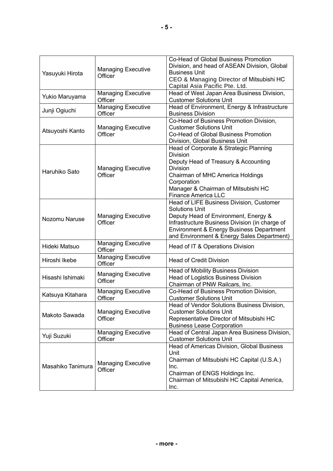| Yasuyuki Hirota   | <b>Managing Executive</b><br>Officer | Co-Head of Global Business Promotion<br>Division, and head of ASEAN Division, Global<br><b>Business Unit</b>                                                                                                                                          |  |
|-------------------|--------------------------------------|-------------------------------------------------------------------------------------------------------------------------------------------------------------------------------------------------------------------------------------------------------|--|
|                   |                                      | CEO & Managing Director of Mitsubishi HC<br>Capital Asia Pacific Pte. Ltd.                                                                                                                                                                            |  |
| Yukio Maruyama    | Managing Executive<br>Officer        | Head of West Japan Area Business Division,<br><b>Customer Solutions Unit</b>                                                                                                                                                                          |  |
| Junji Ogiuchi     | <b>Managing Executive</b><br>Officer | Head of Environment, Energy & Infrastructure<br><b>Business Division</b>                                                                                                                                                                              |  |
| Atsuyoshi Kanto   | <b>Managing Executive</b><br>Officer | Co-Head of Business Promotion Division,<br><b>Customer Solutions Unit</b><br>Co-Head of Global Business Promotion<br>Division, Global Business Unit                                                                                                   |  |
| Haruhiko Sato     | <b>Managing Executive</b><br>Officer | Head of Corporate & Strategic Planning<br><b>Division</b><br>Deputy Head of Treasury & Accounting<br><b>Division</b><br>Chairman of MHC America Holdings<br>Corporation<br>Manager & Chairman of Mitsubishi HC<br><b>Finance America LLC</b>          |  |
| Nozomu Naruse     | <b>Managing Executive</b><br>Officer | Head of LIFE Business Division, Customer<br><b>Solutions Unit</b><br>Deputy Head of Environment, Energy &<br>Infrastructure Business Division (in charge of<br>Environment & Energy Business Department<br>and Environment & Energy Sales Department) |  |
| Hideki Matsuo     | <b>Managing Executive</b><br>Officer | Head of IT & Operations Division                                                                                                                                                                                                                      |  |
| Hiroshi Ikebe     | <b>Managing Executive</b><br>Officer | <b>Head of Credit Division</b>                                                                                                                                                                                                                        |  |
| Hisashi Ishimaki  | <b>Managing Executive</b><br>Officer | <b>Head of Mobility Business Division</b><br><b>Head of Logistics Business Division</b><br>Chairman of PNW Railcars, Inc.                                                                                                                             |  |
| Katsuya Kitahara  | <b>Managing Executive</b><br>Officer | Co-Head of Business Promotion Division,<br><b>Customer Solutions Unit</b>                                                                                                                                                                             |  |
| Makoto Sawada     | <b>Managing Executive</b><br>Officer | Head of Vendor Solutions Business Division,<br><b>Customer Solutions Unit</b><br>Representative Director of Mitsubishi HC<br><b>Business Lease Corporation</b>                                                                                        |  |
| Yuji Suzuki       | <b>Managing Executive</b><br>Officer | Head of Central Japan Area Business Division,<br><b>Customer Solutions Unit</b>                                                                                                                                                                       |  |
| Masahiko Tanimura | <b>Managing Executive</b><br>Officer | Head of Americas Division, Global Business<br>Unit<br>Chairman of Mitsubishi HC Capital (U.S.A.)<br>Inc.<br>Chairman of ENGS Holdings Inc.<br>Chairman of Mitsubishi HC Capital America,<br>Inc.                                                      |  |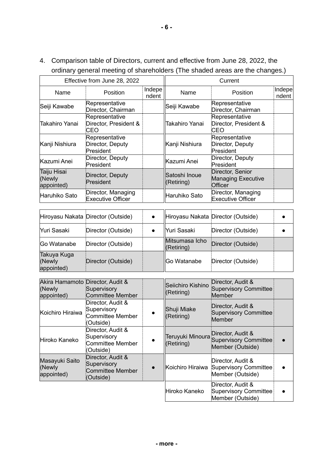4. Comparison table of Directors, current and effective from June 28, 2022, the ordinary general meeting of shareholders (The shaded areas are the changes.)

|                                     | Effective from June 28, 2022                    |                 |                             | Current                                                  |                 |
|-------------------------------------|-------------------------------------------------|-----------------|-----------------------------|----------------------------------------------------------|-----------------|
| Name                                | <b>Position</b>                                 | Indepe<br>ndent | Name                        | Position                                                 | Indepe<br>ndent |
| Seiji Kawabe                        | Representative<br>Director, Chairman            |                 | Seiji Kawabe                | Representative<br>Director, Chairman                     |                 |
| Takahiro Yanai                      | Representative<br>Director, President &<br>CEO  |                 | Takahiro Yanai              | Representative<br>Director, President &<br>CEO           |                 |
| Kanji Nishiura                      | Representative<br>Director, Deputy<br>President |                 | Kanji Nishiura              | Representative<br>Director, Deputy<br>President          |                 |
| Kazumi Anei                         | Director, Deputy<br>President                   |                 | Kazumi Anei                 | Director, Deputy<br>President                            |                 |
| Taiju Hisai<br>(Newly<br>appointed) | Director, Deputy<br>President                   |                 | Satoshi Inoue<br>(Retiring) | Director, Senior<br><b>Managing Executive</b><br>Officer |                 |
| Haruhiko Sato                       | Director, Managing<br><b>Executive Officer</b>  |                 | Haruhiko Sato               | Director, Managing<br><b>Executive Officer</b>           |                 |

|                                     | Hiroyasu Nakata Director (Outside) |                              | Hiroyasu Nakata Director (Outside) |  |
|-------------------------------------|------------------------------------|------------------------------|------------------------------------|--|
| Yuri Sasaki                         | Director (Outside)                 | Yuri Sasaki                  | Director (Outside)                 |  |
| Go Watanabe                         | Director (Outside)                 | Mitsumasa Icho<br>(Retiring) | Director (Outside)                 |  |
| Takuya Kuga<br>(Newly<br>appointed) | Director (Outside)                 | ∣lGo Watanabe                | Director (Outside)                 |  |

| Akira Hamamoto Director, Audit &<br>(Newly<br>appointed) | Supervisory<br>Committee Member                                   |           | Seiichiro Kishino<br>(Retiring) | Director, Audit &<br><b>Supervisory Committee</b><br>Member                     |  |
|----------------------------------------------------------|-------------------------------------------------------------------|-----------|---------------------------------|---------------------------------------------------------------------------------|--|
| Koichiro Hiraiwa                                         | Director, Audit &<br>Supervisory<br>Committee Member<br>(Outside) | $\bullet$ | Shuji Miake<br>(Retiring)       | Director, Audit &<br><b>Supervisory Committee</b><br>Member                     |  |
| Hiroko Kaneko                                            | Director, Audit &<br>Supervisory<br>Committee Member<br>(Outside) |           | (Retiring)                      | Director, Audit &<br>Teruyuki Minoura Supervisory Committee<br>Member (Outside) |  |
| Masayuki Saito<br>(Newly<br>appointed)                   | Director, Audit &<br>Supervisory<br>Committee Member<br>(Outside) |           | Koichiro Hiraiwa                | Director, Audit &<br><b>Supervisory Committee</b><br>Member (Outside)           |  |
|                                                          |                                                                   |           | Hiroko Kaneko                   | Director, Audit &<br>Supervisory Committee<br>Member (Outside)                  |  |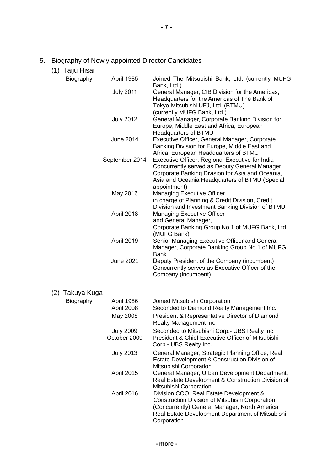- 5. Biography of Newly appointed Director Candidates
	- (1) Taiju Hisai

| Biography       |            | April 1985                                                                                                                     | Joined The Mitsubishi Bank, Ltd. (currently MUFG<br>Bank, Ltd.)                                                                                                                                                                          |
|-----------------|------------|--------------------------------------------------------------------------------------------------------------------------------|------------------------------------------------------------------------------------------------------------------------------------------------------------------------------------------------------------------------------------------|
|                 |            | <b>July 2011</b>                                                                                                               | General Manager, CIB Division for the Americas,<br>Headquarters for the Americas of The Bank of                                                                                                                                          |
|                 |            |                                                                                                                                | Tokyo-Mitsubishi UFJ, Ltd. (BTMU)                                                                                                                                                                                                        |
|                 |            | <b>July 2012</b>                                                                                                               | (currently MUFG Bank, Ltd.)<br>General Manager, Corporate Banking Division for                                                                                                                                                           |
|                 |            |                                                                                                                                | Europe, Middle East and Africa, European                                                                                                                                                                                                 |
|                 |            | <b>June 2014</b>                                                                                                               | Headquarters of BTMU<br>Executive Officer, General Manager, Corporate                                                                                                                                                                    |
|                 |            |                                                                                                                                | Banking Division for Europe, Middle East and<br>Africa, European Headquarters of BTMU                                                                                                                                                    |
|                 |            | September 2014                                                                                                                 | Executive Officer, Regional Executive for India                                                                                                                                                                                          |
|                 |            |                                                                                                                                | Concurrently served as Deputy General Manager,<br>Corporate Banking Division for Asia and Oceania,<br>Asia and Oceania Headquarters of BTMU (Special                                                                                     |
|                 |            | May 2016                                                                                                                       | appointment)<br><b>Managing Executive Officer</b>                                                                                                                                                                                        |
|                 |            |                                                                                                                                | in charge of Planning & Credit Division, Credit                                                                                                                                                                                          |
|                 |            |                                                                                                                                | Division and Investment Banking Division of BTMU                                                                                                                                                                                         |
|                 |            | April 2018                                                                                                                     | <b>Managing Executive Officer</b>                                                                                                                                                                                                        |
|                 |            |                                                                                                                                | and General Manager,<br>Corporate Banking Group No.1 of MUFG Bank, Ltd.                                                                                                                                                                  |
|                 |            |                                                                                                                                | (MUFG Bank)                                                                                                                                                                                                                              |
|                 |            | April 2019                                                                                                                     | Senior Managing Executive Officer and General<br>Manager, Corporate Banking Group No.1 of MUFG                                                                                                                                           |
|                 |            | <b>June 2021</b>                                                                                                               | <b>Bank</b><br>Deputy President of the Company (incumbent)                                                                                                                                                                               |
|                 |            |                                                                                                                                | Concurrently serves as Executive Officer of the<br>Company (incumbent)                                                                                                                                                                   |
| (2) Takuya Kuga |            |                                                                                                                                |                                                                                                                                                                                                                                          |
| Biography       |            | April 1986                                                                                                                     | Joined Mitsubishi Corporation                                                                                                                                                                                                            |
|                 |            | April 2008                                                                                                                     | Seconded to Diamond Realty Management Inc.                                                                                                                                                                                               |
|                 |            | May 2008                                                                                                                       | President & Representative Director of Diamond<br>Realty Management Inc.                                                                                                                                                                 |
|                 |            | <b>July 2009</b>                                                                                                               | Seconded to Mitsubishi Corp.- UBS Realty Inc.                                                                                                                                                                                            |
|                 |            | October 2009                                                                                                                   | President & Chief Executive Officer of Mitsubishi<br>Corp.- UBS Realty Inc.                                                                                                                                                              |
|                 |            | <b>July 2013</b>                                                                                                               | General Manager, Strategic Planning Office, Real<br>Estate Development & Construction Division of                                                                                                                                        |
|                 | April 2015 | Mitsubishi Corporation<br>General Manager, Urban Development Department,<br>Real Estate Development & Construction Division of |                                                                                                                                                                                                                                          |
|                 |            | April 2016                                                                                                                     | Mitsubishi Corporation<br>Division COO, Real Estate Development &<br>Construction Division of Mitsubishi Corporation<br>(Concurrently) General Manager, North America<br>Real Estate Development Department of Mitsubishi<br>Corporation |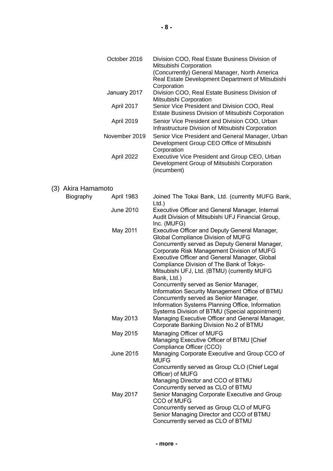|                    | October 2016     | Division COO, Real Estate Business Division of<br>Mitsubishi Corporation<br>(Concurrently) General Manager, North America<br>Real Estate Development Department of Mitsubishi                                                                                                                                                                                                                                                                                                                                                                                                               |
|--------------------|------------------|---------------------------------------------------------------------------------------------------------------------------------------------------------------------------------------------------------------------------------------------------------------------------------------------------------------------------------------------------------------------------------------------------------------------------------------------------------------------------------------------------------------------------------------------------------------------------------------------|
|                    | January 2017     | Corporation<br>Division COO, Real Estate Business Division of                                                                                                                                                                                                                                                                                                                                                                                                                                                                                                                               |
|                    | April 2017       | Mitsubishi Corporation<br>Senior Vice President and Division COO, Real<br>Estate Business Division of Mitsubishi Corporation                                                                                                                                                                                                                                                                                                                                                                                                                                                                |
|                    | April 2019       | Senior Vice President and Division COO, Urban<br>Infrastructure Division of Mitsubishi Corporation                                                                                                                                                                                                                                                                                                                                                                                                                                                                                          |
|                    | November 2019    | Senior Vice President and General Manager, Urban<br>Development Group CEO Office of Mitsubishi<br>Corporation                                                                                                                                                                                                                                                                                                                                                                                                                                                                               |
|                    | April 2022       | Executive Vice President and Group CEO, Urban<br>Development Group of Mitsubishi Corporation<br>(incumbent)                                                                                                                                                                                                                                                                                                                                                                                                                                                                                 |
| (3) Akira Hamamoto |                  |                                                                                                                                                                                                                                                                                                                                                                                                                                                                                                                                                                                             |
| Biography          | April 1983       | Joined The Tokai Bank, Ltd. (currently MUFG Bank,<br>$Ltd.$ )                                                                                                                                                                                                                                                                                                                                                                                                                                                                                                                               |
|                    | <b>June 2010</b> | Executive Officer and General Manager, Internal<br>Audit Division of Mitsubishi UFJ Financial Group,<br>Inc. (MUFG)                                                                                                                                                                                                                                                                                                                                                                                                                                                                         |
|                    | May 2011         | Executive Officer and Deputy General Manager,<br>Global Compliance Division of MUFG<br>Concurrently served as Deputy General Manager,<br>Corporate Risk Management Division of MUFG<br>Executive Officer and General Manager, Global<br>Compliance Division of The Bank of Tokyo-<br>Mitsubishi UFJ, Ltd. (BTMU) (currently MUFG<br>Bank, Ltd.)<br>Concurrently served as Senior Manager,<br>Information Security Management Office of BTMU<br>Concurrently served as Senior Manager,<br>Information Systems Planning Office, Information<br>Systems Division of BTMU (Special appointment) |
|                    | May 2013         | Managing Executive Officer and General Manager,<br>Corporate Banking Division No.2 of BTMU                                                                                                                                                                                                                                                                                                                                                                                                                                                                                                  |
|                    | May 2015         | Managing Officer of MUFG<br>Managing Executive Officer of BTMU [Chief<br>Compliance Officer (CCO)                                                                                                                                                                                                                                                                                                                                                                                                                                                                                           |
|                    | <b>June 2015</b> | Managing Corporate Executive and Group CCO of<br><b>MUFG</b>                                                                                                                                                                                                                                                                                                                                                                                                                                                                                                                                |
|                    | May 2017         | Concurrently served as Group CLO (Chief Legal<br>Officer) of MUFG<br>Managing Director and CCO of BTMU<br>Concurrently served as CLO of BTMU<br>Senior Managing Corporate Executive and Group<br>CCO of MUFG<br>Concurrently served as Group CLO of MUFG<br>Senior Managing Director and CCO of BTMU<br>Concurrently served as CLO of BTMU                                                                                                                                                                                                                                                  |